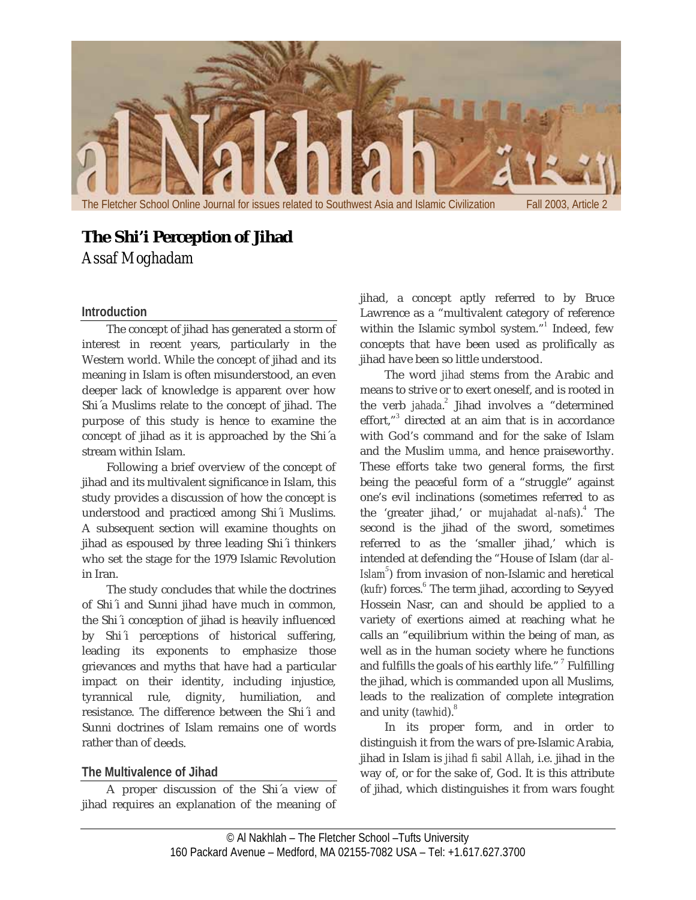

# **The Shi'i Perception of Jihad**

*Assaf Moghadam*

#### **Introduction**

The concept of jihad has generated a storm of interest in recent years, particularly in the Western world. While the concept of jihad and its meaning in Islam is often misunderstood, an even deeper lack of knowledge is apparent over how Shi´a Muslims relate to the concept of jihad. The purpose of this study is hence to examine the concept of jihad as it is approached by the Shi´a stream within Islam.

Following a brief overview of the concept of jihad and its multivalent significance in Islam, this study provides a discussion of how the concept is understood and practiced among Shi´i Muslims. A subsequent section will examine thoughts on jihad as espoused by three leading Shi´i thinkers who set the stage for the 1979 Islamic Revolution in Iran.

The study concludes that while the doctrines of Shi´i and Sunni jihad have much in common, the Shi´i conception of jihad is heavily influenced by Shi´i perceptions of historical suffering, leading its exponents to emphasize those grievances and myths that have had a particular impact on their identity, including injustice, tyrannical rule, dignity, humiliation, and resistance. The difference between the Shi´i and Sunni doctrines of Islam remains one of words rather than of deeds.

# **The Multivalence of Jihad**

A proper discussion of the Shi´a view of jihad requires an explanation of the meaning of jihad, a concept aptly referred to by Bruce Lawrence as a "multivalent category of reference within the Islamic symbol system."<sup>1</sup> Indeed, few concepts that have been used as prolifically as jihad have been so little understood.

The word *jihad* stems from the Arabic and means to strive or to exert oneself, and is rooted in the verb *jahada*. <sup>2</sup> Jihad involves a "determined effort,"<sup>3</sup> directed at an aim that is in accordance with God's command and for the sake of Islam and the Muslim *umma*, and hence praiseworthy. These efforts take two general forms, the first being the peaceful form of a "struggle" against one's evil inclinations (sometimes referred to as the 'greater jihad,' or *mujahadat al‐nafs*).<sup>4</sup> The second is the jihad of the sword, sometimes referred to as the 'smaller jihad,' which is intended at defending the "House of Islam (*dar al‐ Islam<sup>5</sup>* ) from invasion of non‐Islamic and heretical (*kufr*) forces.<sup>6</sup> The term jihad, according to Seyyed Hossein Nasr, can and should be applied to a variety of exertions aimed at reaching what he calls an "equilibrium within the being of man, as well as in the human society where he functions and fulfills the goals of his earthly life."<sup>7</sup> Fulfilling the jihad, which is commanded upon all Muslims, leads to the realization of complete integration and unity (*tawhid*).<sup>8</sup>

In its proper form, and in order to distinguish it from the wars of pre‐Islamic Arabia, jihad in Islam is *jihad fi sabil Allah*, i.e. jihad in the way of, or for the sake of, God. It is this attribute of jihad, which distinguishes it from wars fought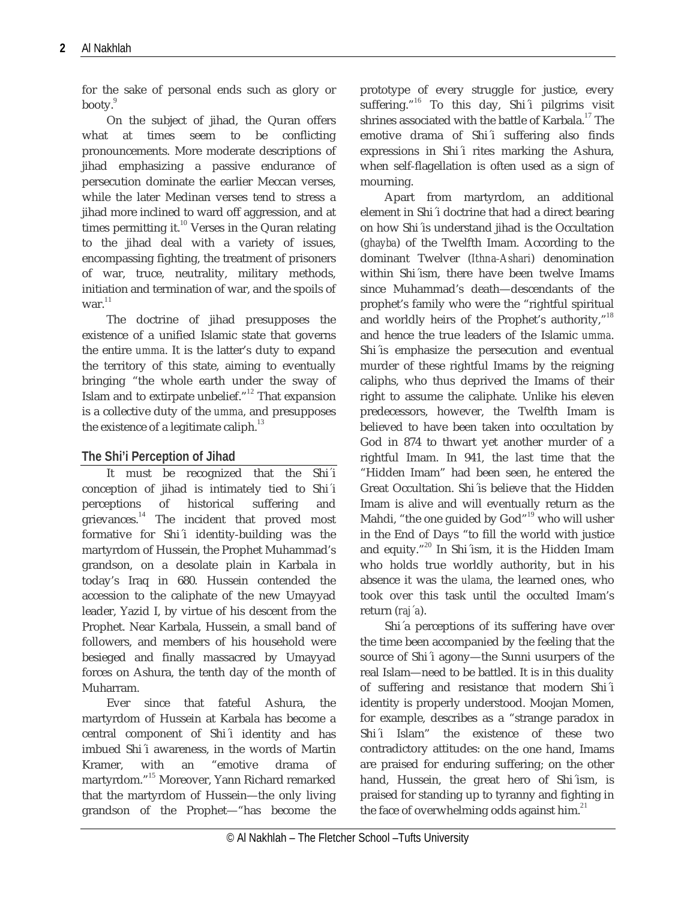for the sake of personal ends such as glory or booty.

On the subject of jihad, the Quran offers what at times seem to be conflicting pronouncements. More moderate descriptions of jihad emphasizing a passive endurance of persecution dominate the earlier Meccan verses, while the later Medinan verses tend to stress a jihad more inclined to ward off aggression, and at times permitting it.<sup>10</sup> Verses in the Quran relating to the jihad deal with a variety of issues, encompassing fighting, the treatment of prisoners of war, truce, neutrality, military methods, initiation and termination of war, and the spoils of war. $^{11}$ 

The doctrine of jihad presupposes the existence of a unified Islamic state that governs the entire *umma*. It is the latter's duty to expand the territory of this state, aiming to eventually bringing "the whole earth under the sway of Islam and to extirpate unbelief." <sup>12</sup> That expansion is a collective duty of the *umma*, and presupposes the existence of a legitimate caliph.<sup>13</sup>

### **The Shi'i Perception of Jihad**

It must be recognized that the Shi*´*i conception of jihad is intimately tied to Shi*´*i perceptions of historical suffering and grievances. $14$  The incident that proved most formative for Shi'i identity-building was the martyrdom of Hussein, the Prophet Muhammad's grandson, on a desolate plain in Karbala in today's Iraq in 680. Hussein contended the accession to the caliphate of the new Umayyad leader, Yazid I, by virtue of his descent from the Prophet. Near Karbala, Hussein, a small band of followers, and members of his household were besieged and finally massacred by Umayyad forces on Ashura, the tenth day of the month of Muharram.

Ever since that fateful Ashura, the martyrdom of Hussein at Karbala has become a central component of Shi´i identity and has imbued Shi´i awareness, in the words of Martin Kramer, with an "emotive drama of martyrdom."<sup>15</sup> Moreover, Yann Richard remarked that the martyrdom of Hussein—the only living grandson of the Prophet—"has become the

prototype of every struggle for justice, every suffering."<sup>16</sup> To this day, Shi'i pilgrims visit shrines associated with the battle of Karbala.<sup>17</sup> The emotive drama of Shi´i suffering also finds expressions in Shi´i rites marking the Ashura, when self‐flagellation is often used as a sign of mourning.

Apart from martyrdom, an additional element in Shi´i doctrine that had a direct bearing on how Shi´is understand jihad is the Occultation (*ghayba*) of the Twelfth Imam. According to the dominant Twelver (*Ithna‐Ashari*) denomination within Shi´ism, there have been twelve Imams since Muhammad's death—descendants of the prophet's family who were the "rightful spiritual and worldly heirs of the Prophet's authority,"<sup>18</sup> and hence the true leaders of the Islamic *umma*. Shi´is emphasize the persecution and eventual murder of these rightful Imams by the reigning caliphs, who thus deprived the Imams of their right to assume the caliphate. Unlike his eleven predecessors, however, the Twelfth Imam is believed to have been taken into occultation by God in 874 to thwart yet another murder of a rightful Imam. In 941, the last time that the "Hidden Imam" had been seen, he entered the Great Occultation. Shi´is believe that the Hidden Imam is alive and will eventually return as the Mahdi, "the one guided by God"<sup>19</sup> who will usher in the End of Days "to fill the world with justice and equity."<sup>20</sup> In Shi´ism, it is the Hidden Imam who holds true worldly authority, but in his absence it was the *ulama*, the learned ones, who took over this task until the occulted Imam's return (*raj´a*).

Shi´a perceptions of its suffering have over the time been accompanied by the feeling that the source of Shi´i agony—the Sunni usurpers of the real Islam—need to be battled. It is in this duality of suffering and resistance that modern Shi´i identity is properly understood. Moojan Momen, for example, describes as a "strange paradox in Shi´i Islam" the existence of these two contradictory attitudes: on the one hand, Imams are praised for enduring suffering; on the other hand, Hussein, the great hero of Shi´ism, is praised for standing up to tyranny and fighting in the face of overwhelming odds against him. $^{21}$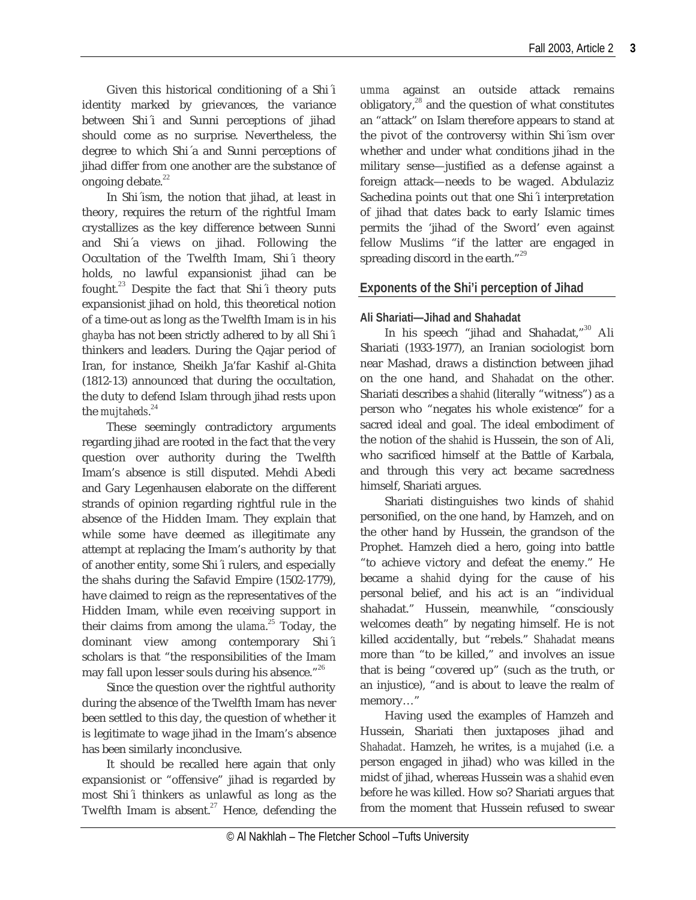Given this historical conditioning of a Shi´i identity marked by grievances, the variance between Shi´i and Sunni perceptions of jihad should come as no surprise. Nevertheless, the degree to which Shi´a and Sunni perceptions of jihad differ from one another are the substance of ongoing debate. $^{22}$ 

In Shi´ism, the notion that jihad, at least in theory, requires the return of the rightful Imam crystallizes as the key difference between Sunni and Shi´a views on jihad. Following the Occultation of the Twelfth Imam, Shi´i theory holds, no lawful expansionist jihad can be fought.<sup>23</sup> Despite the fact that Shi'i theory puts expansionist jihad on hold, this theoretical notion of a time‐out as long as the Twelfth Imam is in his *ghayba* has not been strictly adhered to by all Shi´i thinkers and leaders. During the Qajar period of Iran, for instance, Sheikh Ja'far Kashif al‐Ghita (1812‐13) announced that during the occultation, the duty to defend Islam through jihad rests upon the *mujtaheds*. 24

These seemingly contradictory arguments regarding jihad are rooted in the fact that the very question over authority during the Twelfth Imam's absence is still disputed. Mehdi Abedi and Gary Legenhausen elaborate on the different strands of opinion regarding rightful rule in the absence of the Hidden Imam. They explain that while some have deemed as illegitimate any attempt at replacing the Imam's authority by that of another entity, some Shi´i rulers, and especially the shahs during the Safavid Empire (1502‐1779), have claimed to reign as the representatives of the Hidden Imam, while even receiving support in their claims from among the *ulama*.<sup>25</sup> Today, the dominant view among contemporary Shi´i scholars is that "the responsibilities of the Imam may fall upon lesser souls during his absence."<sup>26</sup>

Since the question over the rightful authority during the absence of the Twelfth Imam has never been settled to this day, the question of whether it is legitimate to wage jihad in the Imam's absence has been similarly inconclusive.

It should be recalled here again that only expansionist or "offensive" jihad is regarded by most Shi´i thinkers as unlawful as long as the Twelfth Imam is absent.<sup>27</sup> Hence, defending the

*umma* against an outside attack remains obligatory, $^{28}$  and the question of what constitutes an "attack" on Islam therefore appears to stand at the pivot of the controversy within Shi´ism over whether and under what conditions jihad in the military sense—justified as a defense against a foreign attack—needs to be waged. Abdulaziz Sachedina points out that one Shi´i interpretation of jihad that dates back to early Islamic times permits the 'jihad of the Sword' even against fellow Muslims "if the latter are engaged in spreading discord in the earth." $^{29}$ 

# **Exponents of the Shi'i perception of Jihad**

#### **Ali Shariati—Jihad and Shahadat**

In his speech "jihad and Shahadat,"<sup>30</sup> Ali Shariati (1933‐1977), an Iranian sociologist born near Mashad, draws a distinction between jihad on the one hand, and *Shahadat* on the other. Shariati describes a *shahid* (literally "witness") as a person who "negates his whole existence" for a sacred ideal and goal. The ideal embodiment of the notion of the *shahid* is Hussein, the son of Ali, who sacrificed himself at the Battle of Karbala, and through this very act became sacredness himself, Shariati argues.

Shariati distinguishes two kinds of *shahid* personified, on the one hand, by Hamzeh, and on the other hand by Hussein, the grandson of the Prophet. Hamzeh died a hero, going into battle "to achieve victory and defeat the enemy." He became a *shahid* dying for the cause of his personal belief, and his act is an "individual shahadat." Hussein, meanwhile, "consciously welcomes death" by negating himself. He is not killed accidentally, but "rebels." *Shahadat* means more than "to be killed," and involves an issue that is being "covered up" (such as the truth, or an injustice), "and is about to leave the realm of memory…"

Having used the examples of Hamzeh and Hussein, Shariati then juxtaposes jihad and *Shahadat*. Hamzeh, he writes, is a *mujahed* (i.e. a person engaged in jihad) who was killed in the midst of jihad, whereas Hussein was a *shahid* even before he was killed. How so? Shariati argues that from the moment that Hussein refused to swear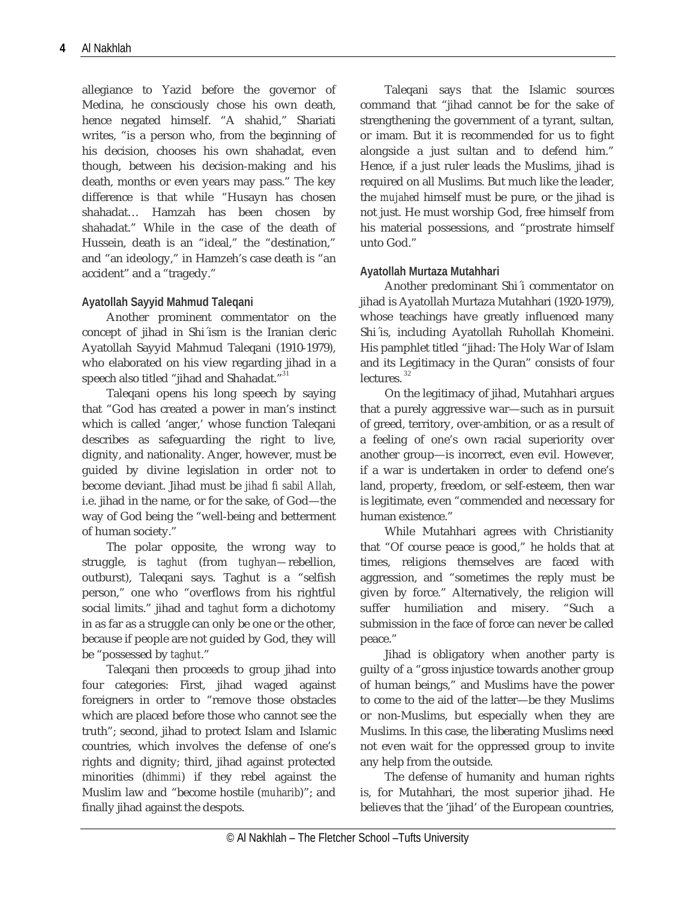allegiance to Yazid before the governor of Medina, he consciously chose his own death, hence negated himself. "A shahid," Shariati writes, "is a person who, from the beginning of his decision, chooses his own shahadat, even though, between his decision‐making and his death, months or even years may pass." The key difference is that while "Husayn has chosen shahadat… Hamzah has been chosen by shahadat." While in the case of the death of Hussein, death is an "ideal," the "destination," and "an ideology," in Hamzeh's case death is "an accident" and a "tragedy."

#### **Ayatollah Sayyid Mahmud Taleqani**

Another prominent commentator on the concept of jihad in Shi´ism is the Iranian cleric Ayatollah Sayyid Mahmud Taleqani (1910‐1979), who elaborated on his view regarding jihad in a speech also titled "jihad and Shahadat."<sup>31</sup>

Taleqani opens his long speech by saying that "God has created a power in man's instinct which is called 'anger,' whose function Taleqani describes as safeguarding the right to live, dignity, and nationality. Anger, however, must be guided by divine legislation in order not to become deviant. Jihad must be *jihad fi sabil Allah*, i.e. jihad in the name, or for the sake, of God—the way of God being the "well-being and betterment" of human society."

The polar opposite, the wrong way to struggle, is *taghut* (from *tughyan—*rebellion, outburst), Taleqani says. Taghut is a "selfish person," one who "overflows from his rightful social limits." jihad and *taghut* form a dichotomy in as far as a struggle can only be one or the other, because if people are not guided by God, they will be "possessed by *taghut*."

Taleqani then proceeds to group jihad into four categories: First, jihad waged against foreigners in order to "remove those obstacles which are placed before those who cannot see the truth"; second, jihad to protect Islam and Islamic countries, which involves the defense of one's rights and dignity; third, jihad against protected minorities (*dhimmi*) if they rebel against the Muslim law and "become hostile (*muharib*)"; and finally jihad against the despots.

Taleqani says that the Islamic sources command that "jihad cannot be for the sake of strengthening the government of a tyrant, sultan, or imam. But it is recommended for us to fight alongside a just sultan and to defend him." Hence, if a just ruler leads the Muslims, jihad is required on all Muslims. But much like the leader, the *mujahed* himself must be pure, or the jihad is not just. He must worship God, free himself from his material possessions, and "prostrate himself unto God."

# **Ayatollah Murtaza Mutahhari**

Another predominant Shi´i commentator on jihad is Ayatollah Murtaza Mutahhari (1920‐1979), whose teachings have greatly influenced many Shi´is, including Ayatollah Ruhollah Khomeini. His pamphlet titled "jihad: The Holy War of Islam and its Legitimacy in the Quran" consists of four lectures. 32

On the legitimacy of jihad, Mutahhari argues that a purely aggressive war—such as in pursuit of greed, territory, over‐ambition, or as a result of a feeling of one's own racial superiority over another group—is incorrect, even evil. However, if a war is undertaken in order to defend one's land, property, freedom, or self‐esteem, then war is legitimate, even "commended and necessary for human existence."

While Mutahhari agrees with Christianity that "Of course peace is good," he holds that at times, religions themselves are faced with aggression, and "sometimes the reply must be given by force." Alternatively, the religion will suffer humiliation and misery. "Such a submission in the face of force can never be called peace."

Jihad is obligatory when another party is guilty of a "gross injustice towards another group of human beings," and Muslims have the power to come to the aid of the latter—be they Muslims or non‐Muslims, but especially when they are Muslims. In this case, the liberating Muslims need not even wait for the oppressed group to invite any help from the outside.

The defense of humanity and human rights is, for Mutahhari, the most superior jihad. He believes that the 'jihad' of the European countries,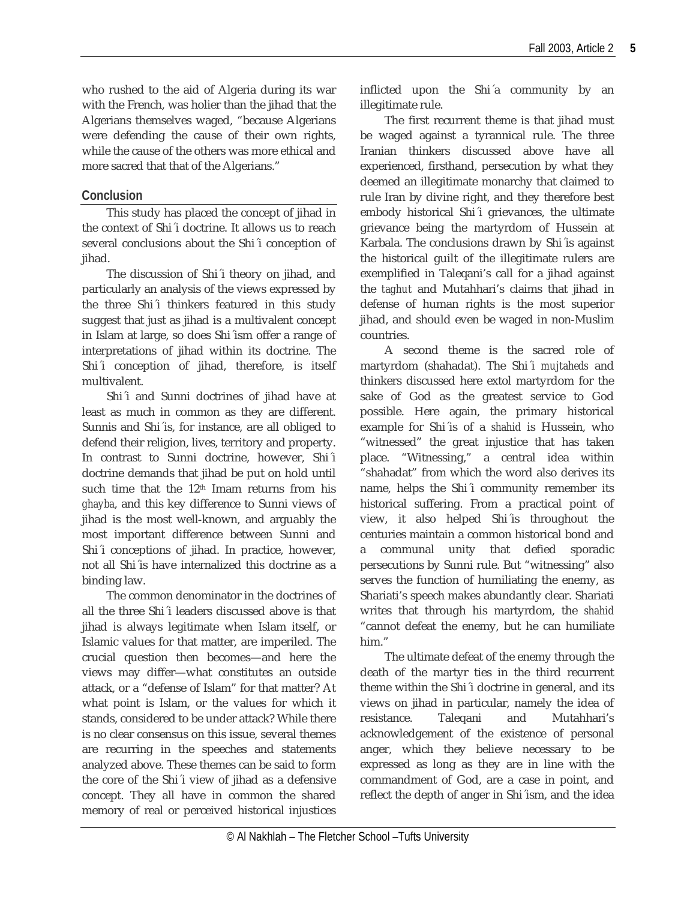who rushed to the aid of Algeria during its war with the French, was holier than the jihad that the Algerians themselves waged, "because Algerians were defending the cause of their own rights, while the cause of the others was more ethical and more sacred that that of the Algerians."

#### **Conclusion**

This study has placed the concept of jihad in the context of Shi´i doctrine. It allows us to reach several conclusions about the Shi´i conception of jihad.

The discussion of Shi´i theory on jihad, and particularly an analysis of the views expressed by the three Shi´i thinkers featured in this study suggest that just as jihad is a multivalent concept in Islam at large, so does Shi´ism offer a range of interpretations of jihad within its doctrine. The Shi´i conception of jihad, therefore, is itself multivalent.

Shi´i and Sunni doctrines of jihad have at least as much in common as they are different. Sunnis and Shi´is, for instance, are all obliged to defend their religion, lives, territory and property. In contrast to Sunni doctrine, however, Shi´i doctrine demands that jihad be put on hold until such time that the 12<sup>th</sup> Imam returns from his *ghayba*, and this key difference to Sunni views of jihad is the most well-known, and arguably the most important difference between Sunni and Shi´i conceptions of jihad. In practice, however, not all Shi´is have internalized this doctrine as a binding law.

The common denominator in the doctrines of all the three Shi´i leaders discussed above is that jihad is always legitimate when Islam itself, or Islamic values for that matter, are imperiled. The crucial question then becomes—and here the views may differ—what constitutes an outside attack, or a "defense of Islam" for that matter? At what point is Islam, or the values for which it stands, considered to be under attack? While there is no clear consensus on this issue, several themes are recurring in the speeches and statements analyzed above. These themes can be said to form the core of the Shi´i view of jihad as a defensive concept. They all have in common the shared memory of real or perceived historical injustices inflicted upon the Shi´a community by an illegitimate rule.

The first recurrent theme is that jihad must be waged against a tyrannical rule. The three Iranian thinkers discussed above have all experienced, firsthand, persecution by what they deemed an illegitimate monarchy that claimed to rule Iran by divine right, and they therefore best embody historical Shi´i grievances, the ultimate grievance being the martyrdom of Hussein at Karbala. The conclusions drawn by Shi´is against the historical guilt of the illegitimate rulers are exemplified in Taleqani's call for a jihad against the *taghut* and Mutahhari's claims that jihad in defense of human rights is the most superior jihad, and should even be waged in non‐Muslim countries.

A second theme is the sacred role of martyrdom (shahadat). The Shi´i *mujtaheds* and thinkers discussed here extol martyrdom for the sake of God as the greatest service to God possible. Here again, the primary historical example for Shi´is of a *shahid* is Hussein, who "witnessed" the great injustice that has taken place. "Witnessing," a central idea within "shahadat" from which the word also derives its name, helps the Shi´i community remember its historical suffering. From a practical point of view, it also helped Shi´is throughout the centuries maintain a common historical bond and a communal unity that defied sporadic persecutions by Sunni rule. But "witnessing" also serves the function of humiliating the enemy, as Shariati's speech makes abundantly clear. Shariati writes that through his martyrdom, the *shahid* "cannot defeat the enemy, but he can humiliate him."

The ultimate defeat of the enemy through the death of the martyr ties in the third recurrent theme within the Shi´i doctrine in general, and its views on jihad in particular, namely the idea of resistance. Taleqani and Mutahhari's acknowledgement of the existence of personal anger, which they believe necessary to be expressed as long as they are in line with the commandment of God, are a case in point, and reflect the depth of anger in Shi´ism, and the idea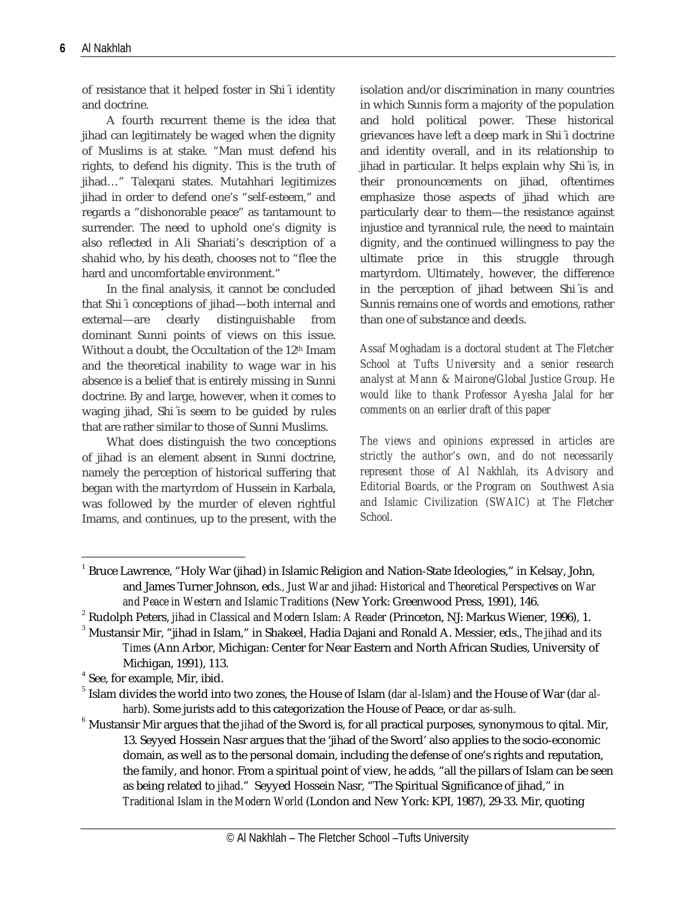of resistance that it helped foster in Shi´i identity and doctrine.

A fourth recurrent theme is the idea that jihad can legitimately be waged when the dignity of Muslims is at stake. "Man must defend his rights, to defend his dignity. This is the truth of jihad…" Taleqani states. Mutahhari legitimizes jihad in order to defend one's "self‐esteem," and regards a "dishonorable peace" as tantamount to surrender. The need to uphold one's dignity is also reflected in Ali Shariati's description of a shahid who, by his death, chooses not to "flee the hard and uncomfortable environment."

In the final analysis, it cannot be concluded that Shi´i conceptions of jihad—both internal and external—are clearly distinguishable from dominant Sunni points of views on this issue. Without a doubt, the Occultation of the 12<sup>th</sup> Imam and the theoretical inability to wage war in his absence is a belief that is entirely missing in Sunni doctrine. By and large, however, when it comes to waging jihad, Shi´is seem to be guided by rules that are rather similar to those of Sunni Muslims.

What does distinguish the two conceptions of jihad is an element absent in Sunni doctrine, namely the perception of historical suffering that began with the martyrdom of Hussein in Karbala, was followed by the murder of eleven rightful Imams, and continues, up to the present, with the isolation and/or discrimination in many countries in which Sunnis form a majority of the population and hold political power. These historical grievances have left a deep mark in Shi´i doctrine and identity overall, and in its relationship to jihad in particular. It helps explain why Shi´is, in their pronouncements on jihad, oftentimes emphasize those aspects of jihad which are particularly dear to them—the resistance against injustice and tyrannical rule, the need to maintain dignity, and the continued willingness to pay the ultimate price in this struggle through martyrdom. Ultimately, however, the difference in the perception of jihad between Shi´is and Sunnis remains one of words and emotions, rather than one of substance and deeds.

*Assaf Moghadam is a doctoral student at The Fletcher School at Tufts University and a senior research analyst at Mann & Mairone/Global Justice Group. He would like to thank Professor Ayesha Jalal for her comments on an earlier draft of this paper*

*The views and opinions expressed in articles are strictly the author's own, and do not necessarily represent those of Al Nakhlah, its Advisory and Editorial Boards, or the Program on Southwest Asia and Islamic Civilization (SWAIC) at The Fletcher School.*

 $\overline{a}$ 

 $1$  Bruce Lawrence, "Holy War (jihad) in Islamic Religion and Nation-State Ideologies," in Kelsay, John, and James Turner Johnson, eds*., Just War and jihad: Historical and Theoretical Perspectives on War* and Peace in Western and Islamic Traditions (New York: Greenwood Press, 1991), 146.<br><sup>2</sup> Rudolph Peters, *jihad in Classical and Modern Islam: A Reader* (Princeton, NJ: Markus Wiener, 1996), 1.<br><sup>3</sup> Mustansir Mir, "jihad in

*Times* (Ann Arbor, Michigan: Center for Near Eastern and North African Studies, University of Michigan, 1991), 113.<br><sup>4</sup> See, for example, Mir, ibid.<br><sup>5</sup> Islam divides the world into two zones, the House of Islam (*dar al-Islam*) and the House of War (*dar al*-

harb). Some jurists add to this categorization the House of Peace, or *dar as-sulh*.<br><sup>6</sup> Mustansir Mir argues that the *jihad* of the Sword is, for all practical purposes, synonymous to qital. Mir,

<sup>13.</sup> Seyyed Hossein Nasr argues that the 'jihad of the Sword' also applies to the socio‐economic domain, as well as to the personal domain, including the defense of one's rights and reputation, the family, and honor. From a spiritual point of view, he adds, "all the pillars of Islam can be seen as being related to *jihad*." Seyyed Hossein Nasr, "The Spiritual Significance of jihad," in *Traditional Islam in the Modern World* (London and New York: KPI, 1987), 29‐33. Mir, quoting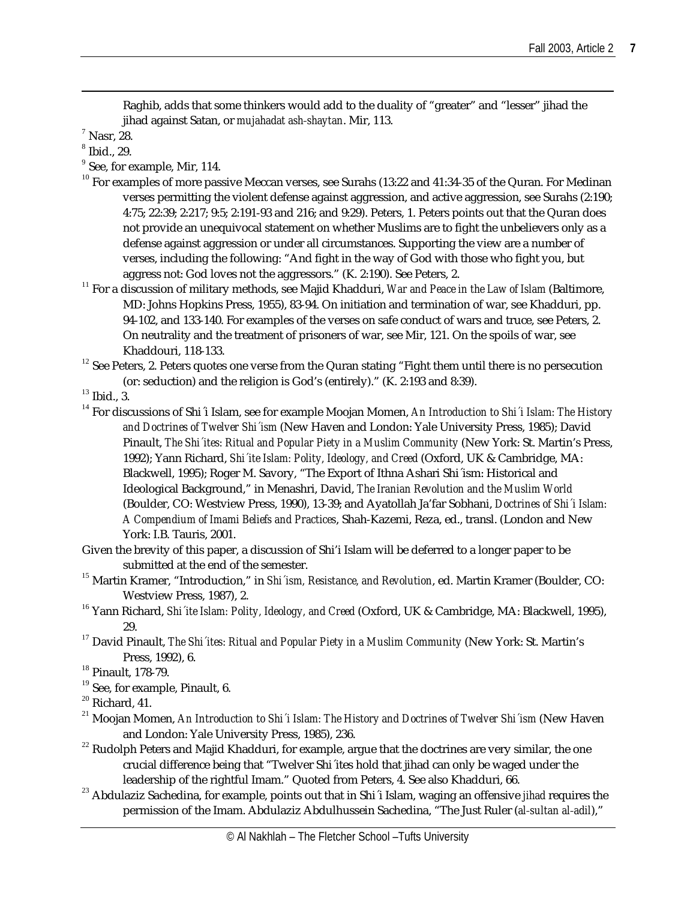Raghib, adds that some thinkers would add to the duality of "greater" and "lesser" jihad the

 $\overline{a}$ 

- 
- % jihad against Satan, or *mujahadat ash-shaytan*. Mir, 113.<br>
<sup>7</sup> Nasr, 28.<br>
<sup>8</sup> Ibid., 29.<br>
<sup>9</sup> See, for example, Mir, 114.<br>
<sup>10</sup> For examples of more passive Meccan verses, see Surahs (13:22 and 41:34-35 of the Quran. Fo verses permitting the violent defense against aggression, and active aggression, see Surahs (2:190; 4:75; 22:39; 2:217; 9:5; 2:191‐93 and 216; and 9:29). Peters, 1. Peters points out that the Quran does not provide an unequivocal statement on whether Muslims are to fight the unbelievers only as a defense against aggression or under all circumstances. Supporting the view are a number of verses, including the following: "And fight in the way of God with those who fight you, but aggress not: God loves not the aggressors." (K. 2:190). See Peters, 2.
- <sup>11</sup> For a discussion of military methods, see Majid Khadduri, *War and Peace in the Law of Islam* (Baltimore, MD: Johns Hopkins Press, 1955), 83‐94. On initiation and termination of war, see Khadduri, pp. 94-102, and 133-140. For examples of the verses on safe conduct of wars and truce, see Peters, 2. On neutrality and the treatment of prisoners of war, see Mir, 121. On the spoils of war, see Khaddouri, 118-133.<br><sup>12</sup> See Peters, 2. Peters quotes one verse from the Quran stating "Fight them until there is no persecution

- (or: seduction) and the religion is God's (entirely)." (K. 2:193 and 8:39).<br><sup>13</sup> Ibid., 3.<br><sup>14</sup> For discussions of Shi´i Islam, see for example Moojan Momen, *An Introduction to Shi´i Islam: The History and Doctrines of Twelver Shi´ism* (New Haven and London: Yale University Press, 1985); David Pinault, *The Shi´ites: Ritual and Popular Piety in a Muslim Community* (New York: St. Martin's Press, 1992); Yann Richard, *Shi´ite Islam: Polity, Ideology, and Creed* (Oxford, UK & Cambridge, MA: Blackwell, 1995); Roger M. Savory, "The Export of Ithna Ashari Shi´ism: Historical and Ideological Background," in Menashri, David, *The Iranian Revolution and the Muslim World* (Boulder, CO: Westview Press, 1990), 13‐39; and Ayatollah Ja'far Sobhani, *Doctrines of Shi´i Islam: A Compendium of Imami Beliefs and Practices*, Shah‐Kazemi, Reza, ed., transl. (London and New York: I.B. Tauris, 2001.
- Given the brevity of this paper, a discussion of Shi'i Islam will be deferred to a longer paper to be submitted at the end of the semester. <sup>15</sup> Martin Kramer, "Introduction," in *Shi´ism, Resistance, and Revolution*, ed. Martin Kramer (Boulder, CO:
- Westview Press, 1987), 2. <sup>16</sup> Yann Richard, *Shi´ite Islam: Polity, Ideology, and Creed* (Oxford, UK & Cambridge, MA: Blackwell, 1995),
- 29. <sup>17</sup> David Pinault, *The Shi´ites: Ritual and Popular Piety in <sup>a</sup> Muslim Community* (New York: St. Martin's
- Press, 1992), 6.<br><sup>18</sup> Pinault, 178-79.<br><sup>19</sup> See, for example, Pinault, 6.<br><sup>20</sup> Richard, 41.<br><sup>21</sup> Moojan Momen, *An Introduction to Shi´i Islam: The History and Doctrines of Twelver Shi´ism* (New Haven

- and London: Yale University Press, 1985), 236.<br><sup>22</sup> Rudolph Peters and Majid Khadduri, for example, argue that the doctrines are very similar, the one
- crucial difference being that "Twelver Shi´ites hold that jihad can only be waged under the
- leadership of the rightful Imam." Quoted from Peters, 4. See also Khadduri, 66. <sup>23</sup> Abdulaziz Sachedina, for example, points out that in Shi´i Islam, waging an offensive *jihad* requires the permission of the Imam. Abdulaziz Abdulhussein Sachedina, "The Just Ruler (*al‐sultan al‐adil*),"